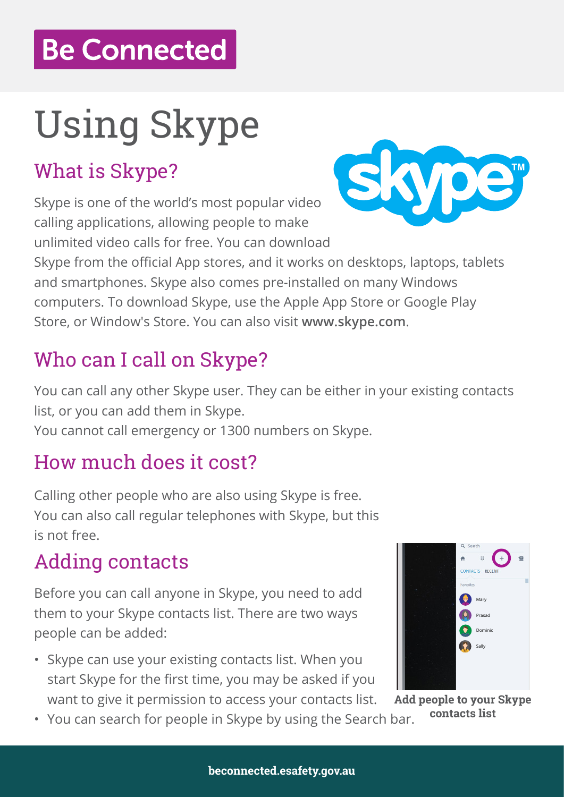# **Be Connected**

# Using Skype

### What is Skype?

Skype is one of the world's most popular video calling applications, allowing people to make unlimited video calls for free. You can download



Skype from the official App stores, and it works on desktops, laptops, tablets and smartphones. Skype also comes pre-installed on many Windows computers. To download Skype, use the Apple App Store or Google Play Store, or Window's Store. You can also visit **www.skype.com**.

### Who can I call on Skype?

You can call any other Skype user. They can be either in your existing contacts list, or you can add them in Skype.

You cannot call emergency or 1300 numbers on Skype.

### How much does it cost?

Calling other people who are also using Skype is free. You can also call regular telephones with Skype, but this is not free.

#### Adding contacts

Before you can call anyone in Skype, you need to add them to your Skype contacts list. There are two ways people can be added:

- Skype can use your existing contacts list. When you start Skype for the first time, you may be asked if you want to give it permission to access your contacts list. **Add people to your Skype**
- **contacts list** You can search for people in Skype by using the Search bar.

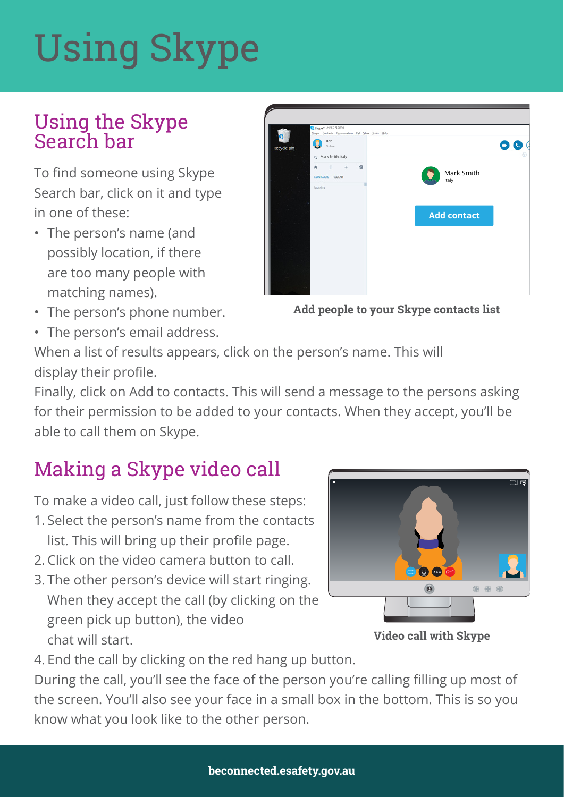# Using Skype

#### Using the Skype Search bar

To find someone using Skype Search bar, click on it and type in one of these:

- The person's name (and possibly location, if there are too many people with matching names).
- The person's phone number.
- The person's email address.

| B Skype <sup>ne</sup> - First Name<br>Skype Contacts Conversation Call View Jools Help |                     |
|----------------------------------------------------------------------------------------|---------------------|
| Bob<br>Online<br>Recycle Bin                                                           | œ                   |
| Q Mark Smith, Italy                                                                    |                     |
| $\quad \  \  \, \boxplus$<br>业<br>$+$<br>٠<br>CONTACTS RECENT                          | Mark Smith<br>Italy |
| Favorites                                                                              |                     |
|                                                                                        |                     |
|                                                                                        | <b>Add contact</b>  |
|                                                                                        |                     |
|                                                                                        |                     |
|                                                                                        |                     |
|                                                                                        |                     |
|                                                                                        |                     |

**Add people to your Skype contacts list** 

When a list of results appears, click on the person's name. This will display their profile.

Finally, click on Add to contacts. This will send a message to the persons asking for their permission to be added to your contacts. When they accept, you'll be able to call them on Skype.

## Making a Skype video call

To make a video call, just follow these steps:

- 1. Select the person's name from the contacts list. This will bring up their profile page.
- 2. Click on the video camera button to call.
- 3. The other person's device will start ringing. When they accept the call (by clicking on the green pick up button), the video chat will start.



**Video call with Skype** 

4. End the call by clicking on the red hang up button.

During the call, you'll see the face of the person you're calling filling up most of the screen. You'll also see your face in a small box in the bottom. This is so you know what you look like to the other person.